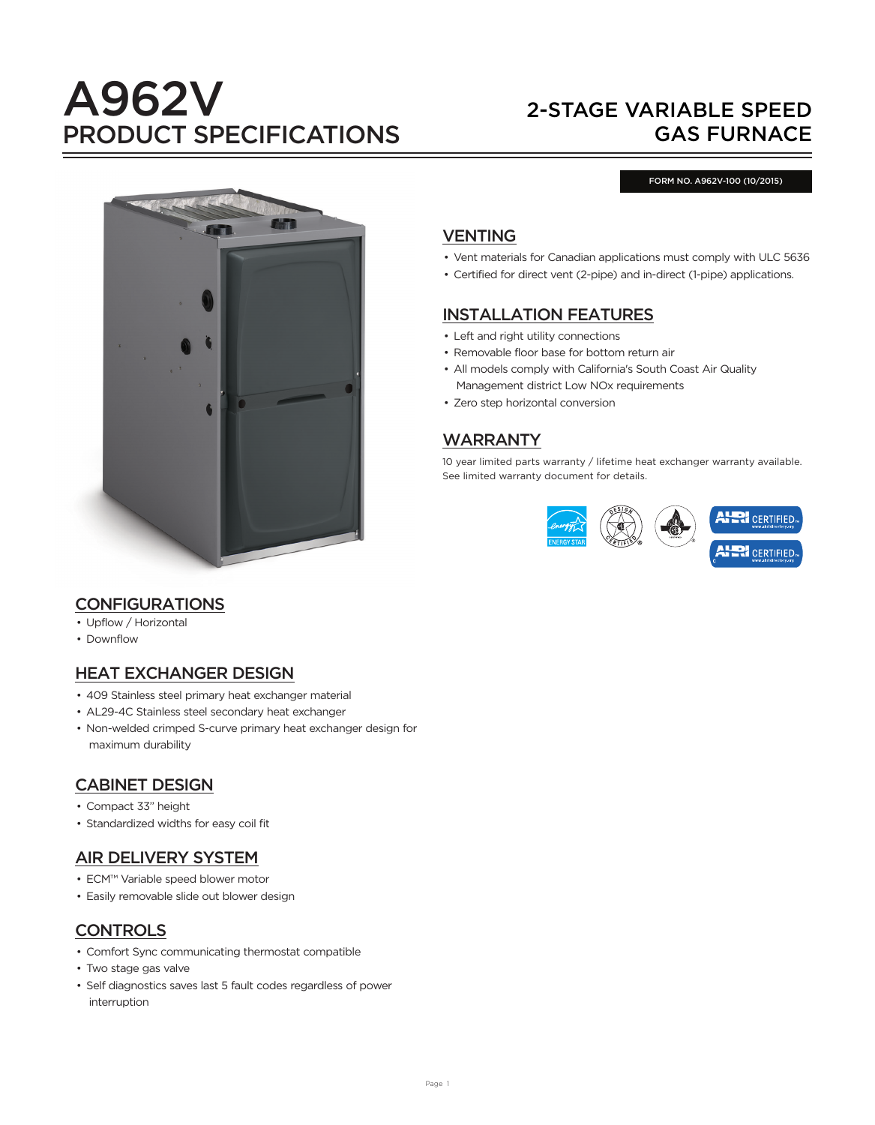# A962V PRODUCT SPECIFICATIONS

## 2-STAGE VARIABLE SPEED GAS FURNACE

#### FORM NO. A962V-100 (10/2015)



## VENTING

- Vent materials for Canadian applications must comply with ULC 5636
- Certified for direct vent (2-pipe) and in-direct (1-pipe) applications.

## INSTALLATION FEATURES

- Left and right utility connections
- Removable floor base for bottom return air
- All models comply with California's South Coast Air Quality Management district Low NOx requirements
- Zero step horizontal conversion

## WARRANTY

10 year limited parts warranty / lifetime heat exchanger warranty available. See limited warranty document for details.



## CONFIGURATIONS

- Upflow / Horizontal
- Downflow

## HEAT EXCHANGER DESIGN

- 409 Stainless steel primary heat exchanger material
- AL29-4C Stainless steel secondary heat exchanger
- Non-welded crimped S-curve primary heat exchanger design for maximum durability

## CABINET DESIGN

- Compact 33" height
- Standardized widths for easy coil fit

## AIR DELIVERY SYSTEM

- ECM™ Variable speed blower motor
- Easily removable slide out blower design

## **CONTROLS**

- Comfort Sync communicating thermostat compatible
- Two stage gas valve
- Self diagnostics saves last 5 fault codes regardless of power interruption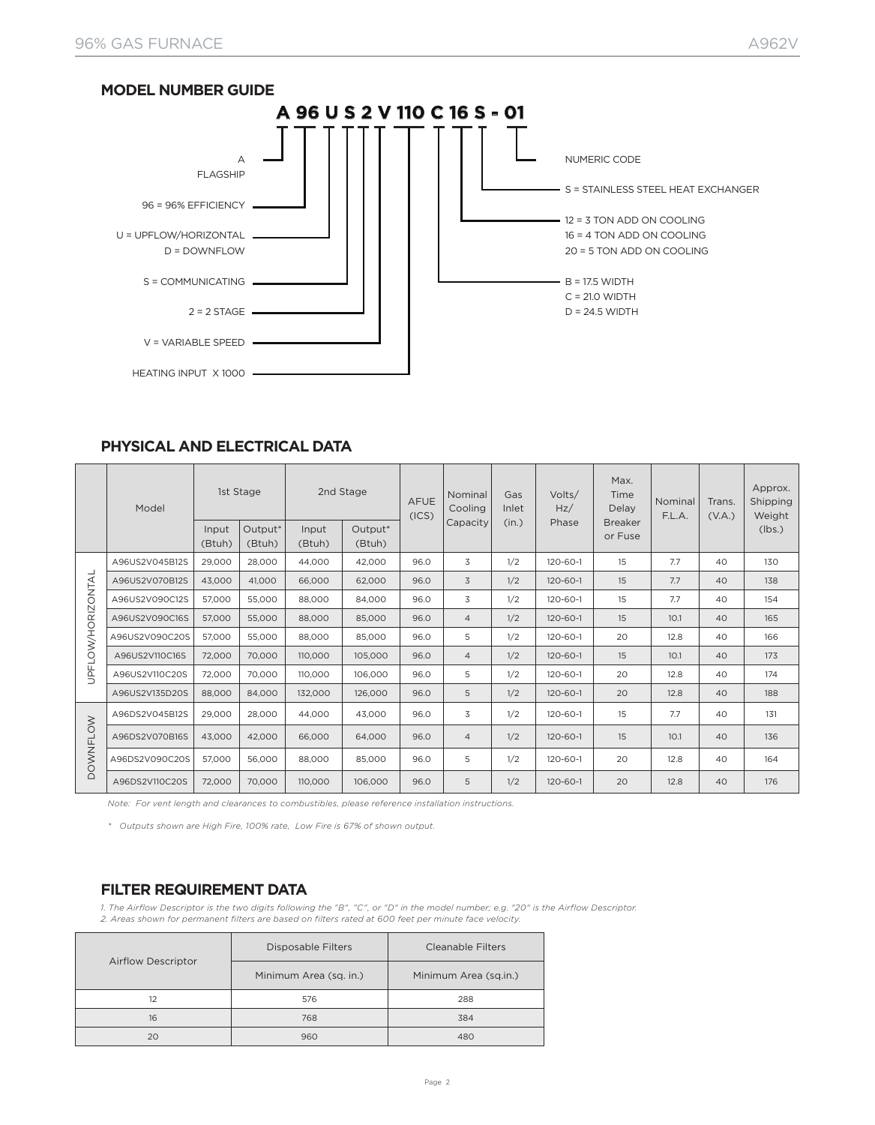

#### **PHYSICAL AND ELECTRICAL DATA**

|                   | Model          |                 | 1st Stage                     |                 | 2nd Stage         | <b>AFUE</b><br>(ICS) | Nominal<br>Cooling | Gas<br>Inlet | Volts/<br>Hz/<br>Phase | Max.<br>Time<br>Delay     | Nominal<br>F.L.A. | Trans.<br>(V.A.) | Approx.<br>Shipping<br>Weight |
|-------------------|----------------|-----------------|-------------------------------|-----------------|-------------------|----------------------|--------------------|--------------|------------------------|---------------------------|-------------------|------------------|-------------------------------|
|                   |                | Input<br>(Btuh) | Output <sup>*</sup><br>(Btuh) | Input<br>(Btuh) | Output*<br>(Btuh) |                      | Capacity           | (in.)        |                        | <b>Breaker</b><br>or Fuse |                   |                  | (lbs.)                        |
|                   | A96US2V045B12S | 29,000          | 28,000                        | 44,000          | 42,000            | 96.0                 | 3                  | 1/2          | 120-60-1               | 15                        | 7.7               | 40               | 130                           |
|                   | A96US2V070B12S | 43,000          | 41.000                        | 66,000          | 62,000            | 96.0                 | 3                  | 1/2          | $120 - 60 - 1$         | 15                        | 7.7               | 40               | 138                           |
|                   | A96US2V090C12S | 57,000          | 55,000                        | 88,000          | 84.000            | 96.0                 | 3                  | 1/2          | 120-60-1               | 15                        | 7.7               | 40               | 154                           |
|                   | A96US2V090C16S | 57,000          | 55,000                        | 88,000          | 85,000            | 96.0                 | $\overline{4}$     | 1/2          | $120 - 60 - 1$         | 15                        | 10.1              | 40               | 165                           |
|                   | A96US2V090C20S | 57,000          | 55,000                        | 88,000          | 85,000            | 96.0                 | 5                  | 1/2          | 120-60-1               | 20                        | 12.8              | 40               | 166                           |
| UPFLOW/HORIZONTAL | A96US2V110C16S | 72,000          | 70,000                        | 110,000         | 105,000           | 96.0                 | $\overline{4}$     | 1/2          | $120 - 60 - 1$         | 15                        | 10.1              | 40               | 173                           |
|                   | A96US2V110C20S | 72,000          | 70.000                        | 110,000         | 106,000           | 96.0                 | 5                  | 1/2          | 120-60-1               | 20                        | 12.8              | 40               | 174                           |
|                   | A96US2V135D20S | 88,000          | 84,000                        | 132,000         | 126,000           | 96.0                 | 5                  | 1/2          | $120 - 60 - 1$         | 20                        | 12.8              | 40               | 188                           |
|                   | A96DS2V045B12S | 29,000          | 28,000                        | 44,000          | 43.000            | 96.0                 | 3                  | 1/2          | 120-60-1               | 15                        | 7.7               | 40               | 131                           |
|                   | A96DS2V070B16S | 43,000          | 42,000                        | 66,000          | 64,000            | 96.0                 | $\overline{4}$     | 1/2          | $120 - 60 - 1$         | 15                        | 10.1              | 40               | 136                           |
| OWNFLOW           | A96DS2V090C20S | 57,000          | 56,000                        | 88,000          | 85,000            | 96.0                 | 5                  | 1/2          | 120-60-1               | 20                        | 12.8              | 40               | 164                           |
| $\Box$            | A96DS2V110C20S | 72,000          | 70,000                        | 110,000         | 106,000           | 96.0                 | 5                  | 1/2          | $120 - 60 - 1$         | 20                        | 12.8              | 40               | 176                           |

*Note: For vent length and clearances to combustibles, please reference installation instructions.*

*\* Outputs shown are High Fire, 100% rate, Low Fire is 67% of shown output.*

#### **FILTER REQUIREMENT DATA**

*1. The Airflow Descriptor is the two digits following the "B", "C", or "D" in the model number; e.g. "20" is the Airflow Descriptor. 2. Areas shown for permanent filters are based on filters rated at 600 feet per minute face velocity.*

|                           | Disposable Filters     | Cleanable Filters     |
|---------------------------|------------------------|-----------------------|
| <b>Airflow Descriptor</b> | Minimum Area (sq. in.) | Minimum Area (sq.in.) |
| 12                        | 576                    | 288                   |
| 16                        | 768                    | 384                   |
| 20                        | 960                    | 480                   |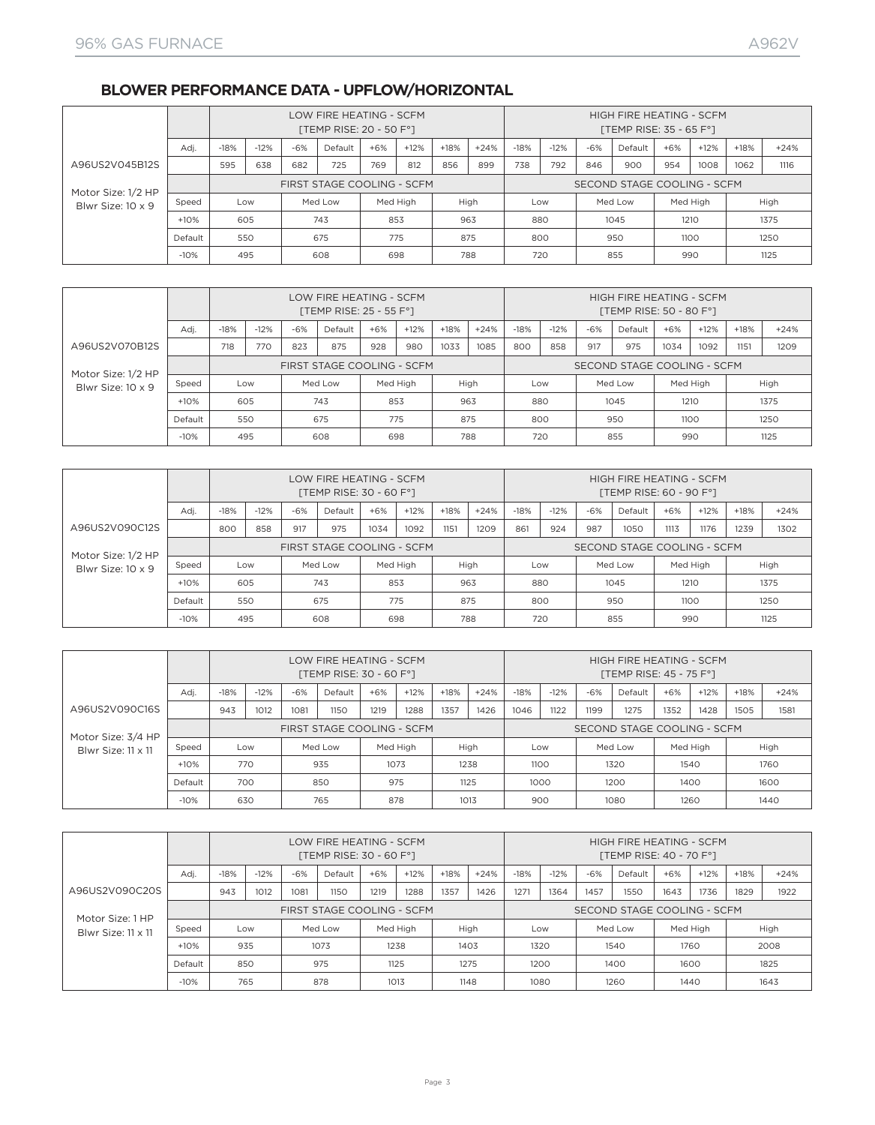## **BLOWER PERFORMANCE DATA - UPFLOW/HORIZONTAL**

|                    |         |        |        |       | LOW FIRE HEATING - SCFM<br>[TEMP RISE: 20 - 50 F°] |          |        |        |        |        |        |       | HIGH FIRE HEATING - SCFM<br>[TEMP RISE: 35 - 65 $F^{\circ}$ ] |          |        |        |        |
|--------------------|---------|--------|--------|-------|----------------------------------------------------|----------|--------|--------|--------|--------|--------|-------|---------------------------------------------------------------|----------|--------|--------|--------|
|                    | Adi.    | $-18%$ | $-12%$ | $-6%$ | Default                                            | $+6%$    | $+12%$ | $+18%$ | $+24%$ | $-18%$ | $-12%$ | $-6%$ | Default                                                       | $+6%$    | $+12%$ | $+18%$ | $+24%$ |
| A96US2V045B12S     |         | 595    | 638    | 682   | 725                                                | 769      | 812    | 856    | 899    | 738    | 792    | 846   | 900                                                           | 954      | 1008   | 1062   | 1116   |
| Motor Size: 1/2 HP |         |        |        |       | FIRST STAGE COOLING - SCFM                         |          |        |        |        |        |        |       | SECOND STAGE COOLING - SCFM                                   |          |        |        |        |
| Blwr Size: 10 x 9  | Speed   |        | Low    |       | Med Low                                            | Med High |        |        | High   | Low    |        |       | Med Low                                                       | Med High |        |        | High   |
|                    | $+10%$  | 605    |        |       | 743                                                | 853      |        |        | 963    | 880    |        |       | 1045                                                          | 1210     |        |        | 1375   |
|                    | Default | 550    |        |       | 675                                                | 775      |        |        | 875    | 800    |        |       | 950                                                           | 1100     |        |        | 1250   |
|                    | $-10%$  | 495    |        |       | 608                                                | 698      |        |        | 788    | 720    |        |       | 855                                                           | 990      |        |        | 1125   |

|                    |         |        |        |       | LOW FIRE HEATING - SCFM<br>[TEMP RISE: $25 - 55 F^{\circ}$ ] |       |          |        |        |        |        |       | HIGH FIRE HEATING - SCFM<br>[TEMP RISE: 50 - 80 F°] |       |          |        |        |
|--------------------|---------|--------|--------|-------|--------------------------------------------------------------|-------|----------|--------|--------|--------|--------|-------|-----------------------------------------------------|-------|----------|--------|--------|
|                    | Adi.    | $-18%$ | $-12%$ | $-6%$ | Default                                                      | $+6%$ | $+12%$   | $+18%$ | $+24%$ | $-18%$ | $-12%$ | $-6%$ | Default                                             | $+6%$ | $+12%$   | $+18%$ | $+24%$ |
| A96US2V070B12S     |         | 718    | 770    | 823   | 875                                                          | 928   | 980      | 1033   | 1085   | 800    | 858    | 917   | 975                                                 | 1034  | 1092     | 1151   | 1209   |
| Motor Size: 1/2 HP |         |        |        |       | FIRST STAGE COOLING - SCFM                                   |       |          |        |        |        |        |       | SECOND STAGE COOLING - SCFM                         |       |          |        |        |
| Blwr Size: 10 x 9  | Speed   |        | Low    |       | Med Low                                                      |       | Med High |        | High   | Low    |        |       | Med Low                                             |       | Med High |        | High   |
|                    | 853     |        | 963    | 880   |                                                              |       | 1045     | 1210   |        |        | 1375   |       |                                                     |       |          |        |        |
|                    | Default |        | 550    |       | 675                                                          |       | 775      |        | 875    | 800    |        |       | 950                                                 | 1100  |          |        | 1250   |
|                    | $-10%$  |        | 495    |       | 608                                                          |       | 698      |        | 788    | 720    |        |       | 855                                                 | 990   |          |        | 1125   |

|                    |         |        |        |       | LOW FIRE HEATING - SCFM<br>[TEMP RISE: 30 - 60 F°] |       |          |        |        |        |        |       | HIGH FIRE HEATING - SCFM<br>[TEMP RISE: 60 - 90 F°] |          |        |        |        |
|--------------------|---------|--------|--------|-------|----------------------------------------------------|-------|----------|--------|--------|--------|--------|-------|-----------------------------------------------------|----------|--------|--------|--------|
|                    | Adi.    | $-18%$ | $-12%$ | $-6%$ | Default                                            | $+6%$ | $+12%$   | $+18%$ | $+24%$ | $-18%$ | $-12%$ | $-6%$ | Default                                             | $+6%$    | $+12%$ | $+18%$ | $+24%$ |
| A96US2V090C12S     |         | 800    | 858    | 917   | 975                                                | 1034  | 1092     | 1151   | 1209   | 861    | 924    | 987   | 1050                                                | 1113     | 1176   | 1239   | 1302   |
| Motor Size: 1/2 HP |         |        |        |       | FIRST STAGE COOLING - SCFM                         |       |          |        |        |        |        |       | SECOND STAGE COOLING - SCFM                         |          |        |        |        |
| Blwr Size: 10 x 9  | Speed   |        | Low    |       | Med Low                                            |       | Med High |        | High   | Low    |        |       | Med Low                                             | Med High |        |        | High   |
|                    | $+10%$  |        | 605    |       | 743                                                | 853   |          |        | 963    | 880    |        |       | 1045                                                | 1210     |        |        | 1375   |
|                    | Default |        | 550    |       | 675                                                |       | 875      | 800    |        |        | 950    | 1100  |                                                     |          | 1250   |        |        |
|                    | $-10%$  |        | 495    |       | 608                                                | 698   |          |        | 788    |        | 720    |       | 855                                                 | 990      |        |        | 1125   |

|                    |         |        |        |       | LOW FIRE HEATING - SCFM<br>[TEMP RISE: 30 - 60 F°] |       |          |        |        |        |        |       | HIGH FIRE HEATING - SCFM<br>[TEMP RISE: 45 - 75 F°] |          |        |        |        |
|--------------------|---------|--------|--------|-------|----------------------------------------------------|-------|----------|--------|--------|--------|--------|-------|-----------------------------------------------------|----------|--------|--------|--------|
|                    | Adi.    | $-18%$ | $-12%$ | $-6%$ | Default                                            | $+6%$ | $+12%$   | $+18%$ | $+24%$ | $-18%$ | $-12%$ | $-6%$ | Default                                             | $+6%$    | $+12%$ | $+18%$ | $+24%$ |
| A96US2V090C16S     |         | 943    | 1012   | 1081  | 1150                                               | 1219  | 1288     | 1357   | 1426   | 1046   | 1122   | 1199  | 1275                                                | 1352     | 1428   | 1505   | 1581   |
| Motor Size: 3/4 HP |         |        |        |       | FIRST STAGE COOLING - SCFM                         |       |          |        |        |        |        |       | SECOND STAGE COOLING - SCFM                         |          |        |        |        |
| Blwr Size: 11 x 11 | Speed   |        | Low    |       | Med Low                                            |       | Med High |        | High   | Low    |        |       | Med Low                                             | Med High |        |        | High   |
|                    | $+10%$  | 770    |        |       | 935                                                |       | 1073     |        | 1238   | 1100   |        |       | 1320                                                | 1540     |        |        | 1760   |
|                    | Default | 700    |        |       | 850                                                |       | 975      | 1125   |        | 1000   |        |       | 1200                                                | 1400     |        |        | 1600   |
|                    | $-10%$  | 630    |        |       | 765                                                |       | 878      |        | 1013   | 900    |        |       | 1080                                                | 1260     |        |        | 1440   |

|                    |         |        |        |       | LOW FIRE HEATING - SCFM<br>[TEMP RISE: 30 - 60 F°] |          |        |        |        |        |        |       | HIGH FIRE HEATING - SCFM<br>[TEMP RISE: 40 - 70 F°] |          |        |        |        |
|--------------------|---------|--------|--------|-------|----------------------------------------------------|----------|--------|--------|--------|--------|--------|-------|-----------------------------------------------------|----------|--------|--------|--------|
|                    | Adj.    | $-18%$ | $-12%$ | $-6%$ | Default                                            | $+6%$    | $+12%$ | $+18%$ | $+24%$ | $-18%$ | $-12%$ | $-6%$ | Default                                             | $+6%$    | $+12%$ | $+18%$ | $+24%$ |
| A96US2V090C20S     |         | 943    | 1012   | 1081  | 1150                                               | 1219     | 1288   | 1357   | 1426   | 1271   | 1364   | 1457  | 1550                                                | 1643     | 1736   | 1829   | 1922   |
| Motor Size: 1 HP   |         |        |        |       | FIRST STAGE COOLING - SCFM                         |          |        |        |        |        |        |       | SECOND STAGE COOLING - SCFM                         |          |        |        |        |
| Blwr Size: 11 x 11 | Speed   |        | Low    |       | Med Low                                            | Med High |        | High   |        | Low    |        |       | Med Low                                             | Med High |        |        | High   |
|                    | $+10%$  |        | 935    |       | 1073                                               | 1238     |        | 1403   |        | 1320   |        |       | 1540                                                | 1760     |        |        | 2008   |
|                    | Default |        | 850    |       | 975                                                | 1125     |        | 1275   |        | 1200   |        |       | 1400                                                | 1600     |        |        | 1825   |
|                    | $-10%$  | 765    |        |       | 878                                                | 1013     |        | 1148   |        | 1080   |        |       | 1260                                                | 1440     |        |        | 1643   |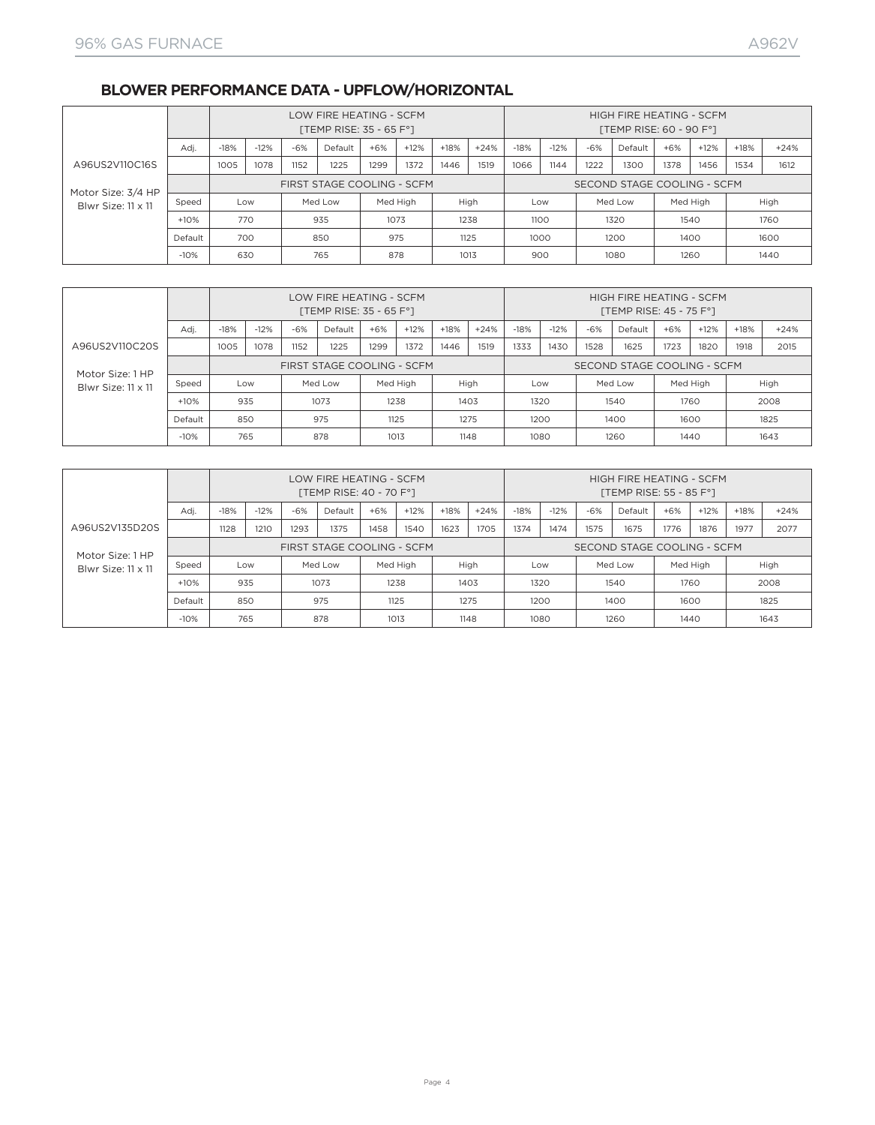#### **BLOWER PERFORMANCE DATA - UPFLOW/HORIZONTAL**

|                    |         |        |        |       | LOW FIRE HEATING - SCFM<br>[TEMP RISE: 35 - 65 $F^{\circ}$ ] |          |        |        |        |        |        |       | HIGH FIRE HEATING - SCFM<br>[TEMP RISE: 60 - 90 F°] |          |        |        |        |
|--------------------|---------|--------|--------|-------|--------------------------------------------------------------|----------|--------|--------|--------|--------|--------|-------|-----------------------------------------------------|----------|--------|--------|--------|
|                    | Adi.    | $-18%$ | $-12%$ | $-6%$ | Default                                                      | $+6%$    | $+12%$ | $+18%$ | $+24%$ | $-18%$ | $-12%$ | $-6%$ | Default                                             | $+6%$    | $+12%$ | $+18%$ | $+24%$ |
| A96US2V110C16S     |         | 1005   | 1078   | 1152  | 1225                                                         | 1299     | 1372   | 1446   | 1519   | 1066   | 1144   | 1222  | 1300                                                | 1378     | 1456   | 1534   | 1612   |
| Motor Size: 3/4 HP |         |        |        |       | FIRST STAGE COOLING - SCFM                                   |          |        |        |        |        |        |       | SECOND STAGE COOLING - SCFM                         |          |        |        |        |
| Blwr Size: 11 x 11 | Speed   |        | Low    |       | Med Low                                                      | Med High |        |        | High   | Low    |        |       | Med Low                                             | Med High |        |        | High   |
|                    | $+10%$  |        | 770    |       | 935                                                          |          | 1073   |        | 1238   | 1100   |        |       | 1320                                                | 1540     |        |        | 1760   |
|                    | Default |        | 700    |       | 850                                                          | 975      |        |        | 1125   | 1000   |        |       | 1200                                                | 1400     |        |        | 1600   |
|                    | $-10%$  |        | 630    |       | 765                                                          | 878      |        |        | 1013   | 900    |        |       | 1080                                                | 1260     |        |        | 1440   |

|                    |                               |        |        |       | LOW FIRE HEATING - SCFM<br>[TEMP RISE: 35 - 65 $F^{\circ}$ ] |       |          |        |        |        |        |       | HIGH FIRE HEATING - SCFM<br>[TEMP RISE: 45 - 75 F°] |          |        |        |        |
|--------------------|-------------------------------|--------|--------|-------|--------------------------------------------------------------|-------|----------|--------|--------|--------|--------|-------|-----------------------------------------------------|----------|--------|--------|--------|
|                    | Adj.                          | $-18%$ | $-12%$ | $-6%$ | Default                                                      | $+6%$ | $+12%$   | $+18%$ | $+24%$ | $-18%$ | $-12%$ | $-6%$ | Default                                             | $+6%$    | $+12%$ | $+18%$ | $+24%$ |
| A96US2V110C20S     |                               | 1005   | 1078   | 1152  | 1225                                                         | 1299  | 1372     | 1446   | 1519   | 1333   | 1430   | 1528  | 1625                                                | 1723     | 1820   | 1918   | 2015   |
| Motor Size: 1 HP   |                               |        |        |       | FIRST STAGE COOLING - SCFM                                   |       |          |        |        |        |        |       | SECOND STAGE COOLING - SCFM                         |          |        |        |        |
| Blwr Size: 11 x 11 | Speed                         |        | Low    |       | Med Low                                                      |       | Med High |        | High   |        | Low    |       | Med Low                                             | Med High |        |        | High   |
|                    | $+10%$<br>1073<br>1238<br>935 |        |        |       |                                                              |       |          |        | 1403   |        | 1320   |       | 1540                                                | 1760     |        |        | 2008   |
|                    | Default                       |        | 850    |       | 975                                                          |       | 1125     |        | 1275   |        | 1200   |       | 1400                                                | 1600     |        |        | 1825   |
|                    | $-10%$                        |        | 765    |       | 878                                                          |       | 1013     |        | 1148   |        | 1080   |       | 1260                                                | 1440     |        |        | 1643   |

|                                      |         |        |        |       | LOW FIRE HEATING - SCFM<br>[TEMP RISE: 40 - 70 F°] |       |          |        |        |        |        |       | HIGH FIRE HEATING - SCFM<br>[TEMP RISE: 55 - 85 F°] |       |          |        |        |
|--------------------------------------|---------|--------|--------|-------|----------------------------------------------------|-------|----------|--------|--------|--------|--------|-------|-----------------------------------------------------|-------|----------|--------|--------|
|                                      | Adi.    | $-18%$ | $-12%$ | $-6%$ | Default                                            | $+6%$ | $+12%$   | $+18%$ | $+24%$ | $-18%$ | $-12%$ | $-6%$ | Default                                             | $+6%$ | $+12%$   | $+18%$ | $+24%$ |
| A96US2V135D20S                       |         | 1128   | 1210   | 1293  | 1375                                               | 1458  | 1540     | 1623   | 1705   | 1374   | 1474   | 1575  | 1675                                                | 1776  | 1876     | 1977   | 2077   |
| Motor Size: 1 HP                     |         |        |        |       | FIRST STAGE COOLING - SCFM                         |       |          |        |        |        |        |       | SECOND STAGE COOLING - SCFM                         |       |          |        |        |
| Blwr Size: 11 x 11                   | Speed   |        | Low    |       | Med Low                                            |       | Med High |        | High   |        | Low    |       | Med Low                                             |       | Med High |        | High   |
|                                      | $+10%$  |        | 935    |       | 1073                                               |       | 1238     |        | 1403   |        | 1320   |       | 1540                                                | 1760  |          |        | 2008   |
|                                      | Default |        | 850    |       | 975                                                |       | 1125     |        | 1275   |        | 1200   |       | 1400                                                | 1600  |          |        | 1825   |
| 878<br>$-10%$<br>765<br>1013<br>1148 |         |        |        |       |                                                    |       |          |        |        |        | 1080   |       | 1260                                                | 1440  |          |        | 1643   |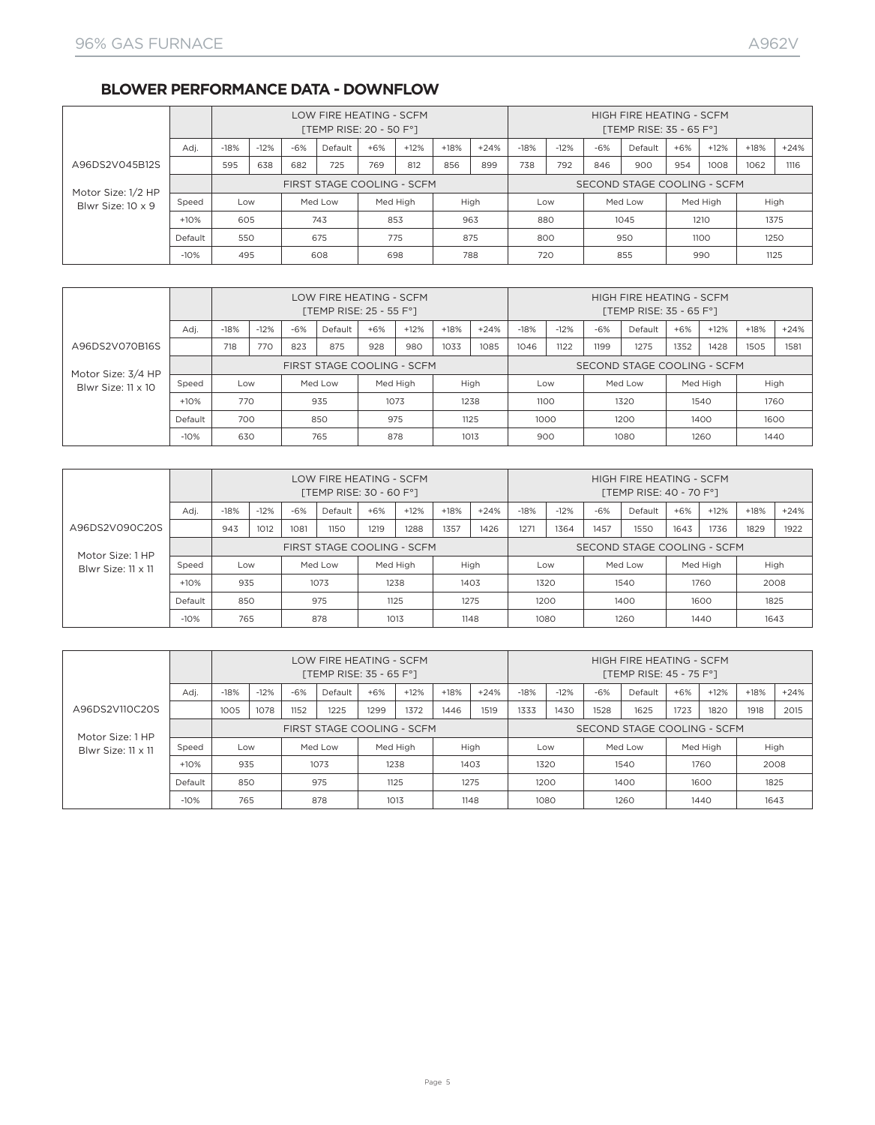#### **BLOWER PERFORMANCE DATA - DOWNFLOW**

|                    |         |        |        |       | LOW FIRE HEATING - SCFM<br>[TEMP RISE: 20 - 50 F°] |       |          |        |        |        |        |       | HIGH FIRE HEATING - SCFM<br>[TEMP RISE: 35 - 65 $F^{\circ}$ ] |       |          |        |        |
|--------------------|---------|--------|--------|-------|----------------------------------------------------|-------|----------|--------|--------|--------|--------|-------|---------------------------------------------------------------|-------|----------|--------|--------|
|                    | Adi.    | $-18%$ | $-12%$ | $-6%$ | Default                                            | $+6%$ | $+12%$   | $+18%$ | $+24%$ | $-18%$ | $-12%$ | $-6%$ | Default                                                       | $+6%$ | $+12%$   | $+18%$ | $+24%$ |
| A96DS2V045B12S     | 738     | 792    | 846    | 900   | 954                                                | 1008  | 1062     | 1116   |        |        |        |       |                                                               |       |          |        |        |
| Motor Size: 1/2 HP |         |        |        |       | FIRST STAGE COOLING - SCFM                         |       |          |        |        |        |        |       | SECOND STAGE COOLING - SCFM                                   |       |          |        |        |
| Blwr Size: 10 x 9  | Speed   | Low    |        |       | Med Low                                            |       | Med High |        | High   | Low    |        |       | Med Low                                                       |       | Med High | High   |        |
|                    | $+10%$  | 605    |        |       | 743                                                |       | 853      | 963    |        | 880    |        |       | 1045                                                          |       | 1210     | 1375   |        |
|                    | Default | 550    |        |       | 675                                                |       | 775      | 875    |        | 800    |        |       | 950                                                           |       | 1100     | 1250   |        |
|                    | $-10%$  | 495    |        |       | 608                                                |       | 698      | 788    |        | 720    |        |       | 855                                                           |       | 990      | 1125   |        |

|                    |         |        |        |       | LOW FIRE HEATING - SCFM<br>[TEMP RISE: $25 - 55 F^{\circ}$ ] |       |          |        |        |        |        |       | HIGH FIRE HEATING - SCFM<br>[TEMP RISE: 35 - 65 $F^{\circ}$ ] |       |          |        |        |
|--------------------|---------|--------|--------|-------|--------------------------------------------------------------|-------|----------|--------|--------|--------|--------|-------|---------------------------------------------------------------|-------|----------|--------|--------|
|                    | Adi.    | $-18%$ | $-12%$ | $-6%$ | Default                                                      | $+6%$ | $+12%$   | $+18%$ | $+24%$ | $-18%$ | $-12%$ | $-6%$ | Default                                                       | $+6%$ | $+12%$   | $+18%$ | $+24%$ |
| A96DS2V070B16S     |         | 718    | 770    | 823   | 875                                                          | 928   | 980      | 1033   | 1085   | 1046   | 1122   | 1199  | 1275                                                          | 1352  | 1428     | 1505   | 1581   |
| Motor Size: 3/4 HP |         |        |        |       | FIRST STAGE COOLING - SCFM                                   |       |          |        |        |        |        |       | SECOND STAGE COOLING - SCFM                                   |       |          |        |        |
| Blwr Size: 11 x 10 | Speed   | Low    |        |       | Med Low                                                      |       | Med High |        | High   |        | Low    |       | Med Low                                                       |       | Med High |        | High   |
|                    | $+10%$  | 770    |        |       | 935                                                          |       | 1073     |        | 1238   |        | 1100   |       | 1320                                                          |       | 1540     |        | 1760   |
|                    | Default | 700    |        |       | 850                                                          |       | 975      |        | 1125   |        | 1000   |       | 1200                                                          |       | 1400     |        | 1600   |
|                    | $-10%$  | 630    |        |       | 765                                                          |       | 878      |        | 1013   |        | 900    |       | 1080                                                          |       | 1260     | 1440   |        |

|                    |                      | LOW FIRE HEATING - SCFM<br>[TEMP RISE: 30 - 60 F°] |        |         |         |          |        | HIGH FIRE HEATING - SCFM<br>[TEMP RISE: 40 - 70 F°] |        |                             |        |       |         |       |          |        |        |  |
|--------------------|----------------------|----------------------------------------------------|--------|---------|---------|----------|--------|-----------------------------------------------------|--------|-----------------------------|--------|-------|---------|-------|----------|--------|--------|--|
|                    | Adj.                 | $-18%$                                             | $-12%$ | $-6%$   | Default | $+6%$    | $+12%$ | $+18%$                                              | $+24%$ | $-18%$                      | $-12%$ | $-6%$ | Default | $+6%$ | $+12%$   | $+18%$ | $+24%$ |  |
| A96DS2V090C20S     |                      | 943                                                | 1012   | 1081    | 1150    | 1219     | 1288   | 1357                                                | 1426   | 1271                        | 1364   | 1457  | 1550    | 1643  | 1736     | 1829   | 1922   |  |
| Motor Size: 1 HP   |                      | FIRST STAGE COOLING - SCFM                         |        |         |         |          |        |                                                     |        | SECOND STAGE COOLING - SCFM |        |       |         |       |          |        |        |  |
| Blwr Size: 11 x 11 | Speed                | Low                                                |        | Med Low |         | Med High |        |                                                     | High   |                             | Low    |       | Med Low |       | Med High |        | High   |  |
|                    | $+10%$               | 935                                                |        | 1073    |         | 1238     |        | 1403                                                |        | 1320                        |        | 1540  |         | 1760  |          | 2008   |        |  |
|                    | Default              | 850                                                |        | 975     |         | 1125     |        | 1275                                                |        | 1200                        |        | 1400  |         | 1600  |          | 1825   |        |  |
|                    | 878<br>$-10%$<br>765 |                                                    |        | 1013    |         |          | 1148   | 1080                                                |        | 1260                        |        | 1440  |         | 1643  |          |        |        |  |

|                                        | LOW FIRE HEATING - SCFM<br>[TEMP RISE: 35 - 65 $F^{\circ}$ ] |                            |        |         |         |          | HIGH FIRE HEATING - SCFM<br>[TEMP RISE: 45 - 75 F°] |        |                             |        |        |       |         |       |          |        |        |
|----------------------------------------|--------------------------------------------------------------|----------------------------|--------|---------|---------|----------|-----------------------------------------------------|--------|-----------------------------|--------|--------|-------|---------|-------|----------|--------|--------|
|                                        | Adi.                                                         | $-18%$                     | $-12%$ | $-6%$   | Default | $+6%$    | $+12%$                                              | $+18%$ | $+24%$                      | $-18%$ | $-12%$ | $-6%$ | Default | $+6%$ | $+12%$   | $+18%$ | $+24%$ |
| A96DS2V110C20S                         |                                                              | 1005                       | 1078   | 1152    | 1225    | 1299     | 1372                                                | 1446   | 1519                        | 1333   | 1430   | 1528  | 1625    | 1723  | 1820     | 1918   | 2015   |
| Motor Size: 1 HP<br>Blwr Size: 11 x 11 |                                                              | FIRST STAGE COOLING - SCFM |        |         |         |          |                                                     |        | SECOND STAGE COOLING - SCFM |        |        |       |         |       |          |        |        |
|                                        | Speed                                                        | Low                        |        | Med Low |         | Med High |                                                     | High   |                             |        | Low    |       | Med Low |       | Med High | High   |        |
|                                        | $+10%$                                                       | 935                        |        | 1073    |         | 1238     |                                                     | 1403   |                             | 1320   |        | 1540  |         | 1760  |          | 2008   |        |
|                                        | Default                                                      | 850                        |        | 975     |         | 1125     |                                                     | 1275   |                             | 1200   |        | 1400  |         | 1600  |          | 1825   |        |
|                                        | $-10%$                                                       | 765                        |        | 878     |         | 1013     |                                                     | 1148   |                             | 1080   |        | 1260  |         | 1440  |          | 1643   |        |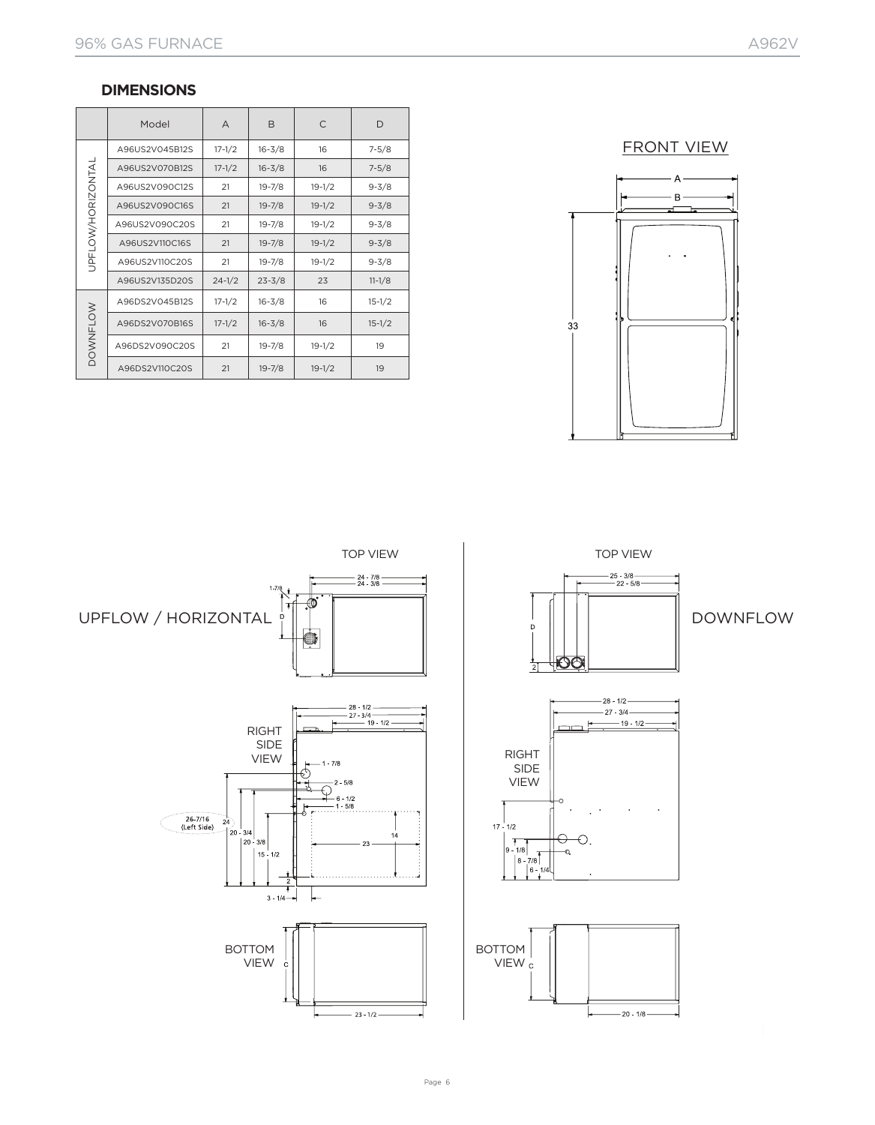#### **DIMENSIONS**

|                          | Model          | A          | B          | $\subset$  | D          |  |
|--------------------------|----------------|------------|------------|------------|------------|--|
|                          | A96US2V045B12S | $17 - 1/2$ | $16 - 3/8$ | 16         | $7 - 5/8$  |  |
|                          | A96US2V070B12S | $17 - 1/2$ | $16 - 3/8$ | 16         | $7 - 5/8$  |  |
|                          | A96US2V090C12S | 21         | $19 - 7/8$ | $19 - 1/2$ | $9 - 3/8$  |  |
|                          | A96US2V090C16S | 21         | $19 - 7/8$ | $19 - 1/2$ | $9 - 3/8$  |  |
| <b>JPFLOW/HORIZONTAL</b> | A96US2V090C20S | 21         | $19 - 7/8$ | $19 - 1/2$ | $9 - 3/8$  |  |
|                          | A96US2V110C16S | 21         | $19 - 7/8$ | $19 - 1/2$ | $9 - 3/8$  |  |
|                          | A96US2V110C20S | 21         | $19 - 7/8$ | $19 - 1/2$ | $9 - 3/8$  |  |
|                          | A96US2V135D20S | $24 - 1/2$ | $23 - 3/8$ | 23         | $11 - 1/8$ |  |
|                          | A96DS2V045B12S | $17 - 1/2$ | $16 - 3/8$ | 16         | $15 - 1/2$ |  |
| <b>DOWNFLOW</b>          | A96DS2V070B16S | $17 - 1/2$ | $16 - 3/8$ | 16         | $15 - 1/2$ |  |
|                          | A96DS2V090C20S | 21         | $19 - 7/8$ | $19 - 1/2$ | 19         |  |
|                          | A96DS2V110C20S | 21         | $19 - 7/8$ | $19 - 1/2$ | 19         |  |

FRONT VIEW



 $-24$  7/8 —<br> $-24$  3/8 г  $1 - 7/8$  $\hat{\bullet}$ र्म UPFLOW / HORIZONTAL  $\begin{array}{c} \cdot \\ \cdot \\ \cdot \end{array}$   $\begin{array}{c} \cdot \\ \cdot \\ \cdot \end{array}$   $\begin{array}{c} \cdot \\ \cdot \\ \cdot \end{array}$   $\begin{array}{c} \cdot \\ \cdot \\ \cdot \end{array}$  DOWNFLOW O  $-28 - 1/2$ <br> $-27 - 3/4$ <br> $-49 - 1/2$ RIGHT SIDE<br>VIEW  $RIGHT$ 26-7/16<br>(Left Side)  $24$  $\vert$  20  $\begin{array}{c|c} 3/4 & 3/8 \end{array}$  $14$  $15 - 1/2$ A.  $3 \cdot 1/4$   $-$ ┡ BOTTOM VIEW  $-23 - 1/2 -$ 

TOP VIEW TOP VIEW





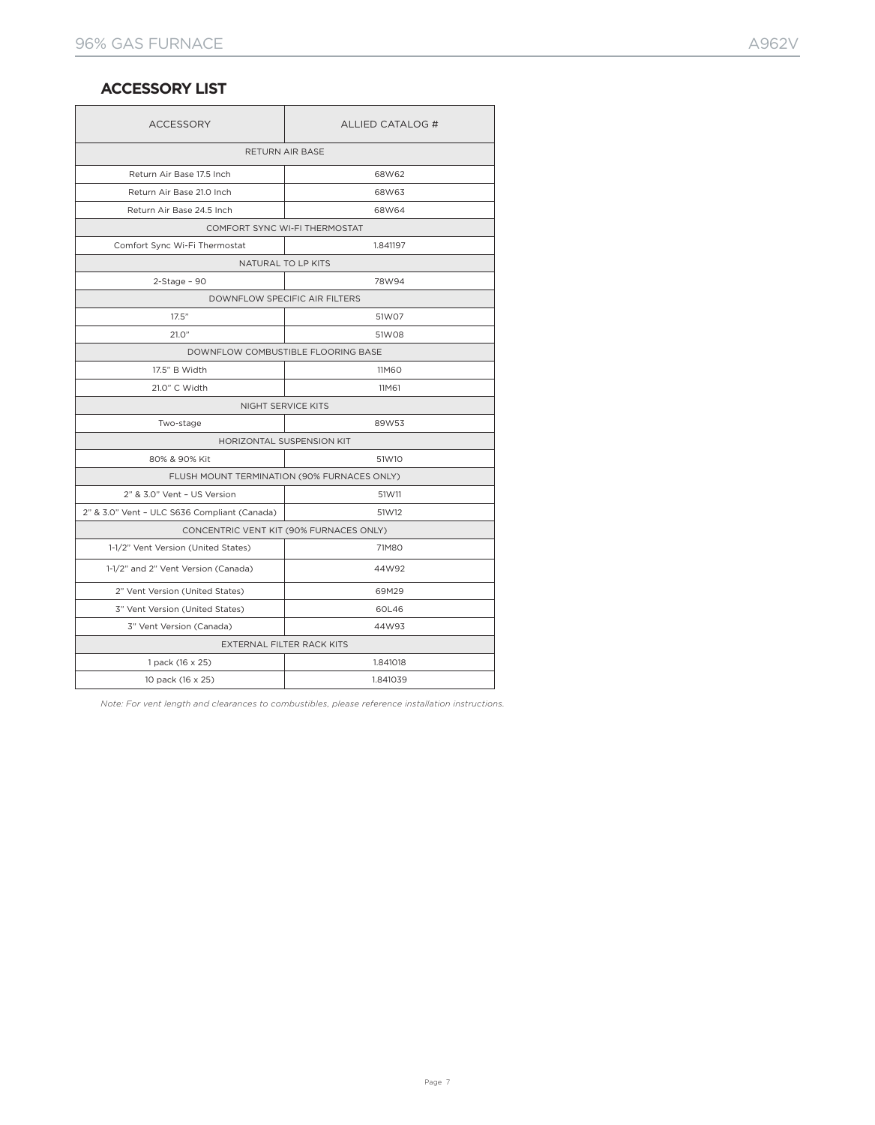#### **ACCESSORY LIST**

| <b>ACCESSORY</b>                             | ALLIED CATALOG #                            |  |  |  |  |  |  |  |
|----------------------------------------------|---------------------------------------------|--|--|--|--|--|--|--|
| RETURN AIR BASE                              |                                             |  |  |  |  |  |  |  |
| Return Air Base 17.5 Inch                    | 68W62                                       |  |  |  |  |  |  |  |
| Return Air Base 21.0 Inch                    | 68W63                                       |  |  |  |  |  |  |  |
| Return Air Base 24.5 Inch                    | 68W64                                       |  |  |  |  |  |  |  |
|                                              | COMFORT SYNC WI-FI THERMOSTAT               |  |  |  |  |  |  |  |
| Comfort Sync Wi-Fi Thermostat                | 1.841197                                    |  |  |  |  |  |  |  |
|                                              | NATURAL TO LP KITS                          |  |  |  |  |  |  |  |
| $2 - Stage - 90$                             | 78W94                                       |  |  |  |  |  |  |  |
| <b>DOWNFLOW SPECIFIC AIR FILTERS</b>         |                                             |  |  |  |  |  |  |  |
| 17.5"                                        | 51W07                                       |  |  |  |  |  |  |  |
| 21.0"                                        | 51W08                                       |  |  |  |  |  |  |  |
|                                              | DOWNFLOW COMBUSTIBLE FLOORING BASE          |  |  |  |  |  |  |  |
| 17.5" B Width                                | <b>11M60</b>                                |  |  |  |  |  |  |  |
| 21.0" C Width                                | 11M61                                       |  |  |  |  |  |  |  |
| NIGHT SERVICE KITS                           |                                             |  |  |  |  |  |  |  |
| Two-stage                                    | 89W53                                       |  |  |  |  |  |  |  |
| HORIZONTAL SUSPENSION KIT                    |                                             |  |  |  |  |  |  |  |
| 80% & 90% Kit                                | 51W10                                       |  |  |  |  |  |  |  |
|                                              | FLUSH MOUNT TERMINATION (90% FURNACES ONLY) |  |  |  |  |  |  |  |
| 2" & 3.0" Vent - US Version                  | 51W11                                       |  |  |  |  |  |  |  |
| 2" & 3.0" Vent - ULC S636 Compliant (Canada) | 51W12                                       |  |  |  |  |  |  |  |
| CONCENTRIC VENT KIT (90% FURNACES ONLY)      |                                             |  |  |  |  |  |  |  |
| 1-1/2" Vent Version (United States)          | 71M80                                       |  |  |  |  |  |  |  |
| 1-1/2" and 2" Vent Version (Canada)          | 44W92                                       |  |  |  |  |  |  |  |
| 2" Vent Version (United States)              | 69M29                                       |  |  |  |  |  |  |  |
| 3" Vent Version (United States)              | 60L46                                       |  |  |  |  |  |  |  |
| 3" Vent Version (Canada)                     | 44W93                                       |  |  |  |  |  |  |  |
|                                              | EXTERNAL FILTER RACK KITS                   |  |  |  |  |  |  |  |
| 1 pack (16 x 25)                             | 1.841018                                    |  |  |  |  |  |  |  |
| 10 pack (16 x 25)                            | 1.841039                                    |  |  |  |  |  |  |  |

*Note: For vent length and clearances to combustibles, please reference installation instructions.*